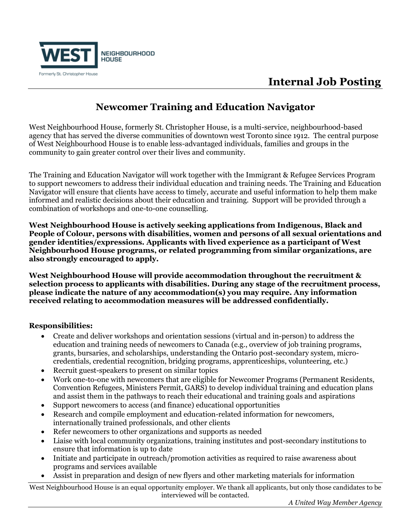

# **Internal Job Posting**

### **Newcomer Training and Education Navigator**

West Neighbourhood House, formerly St. Christopher House, is a multi-service, neighbourhood-based agency that has served the diverse communities of downtown west Toronto since 1912. The central purpose of West Neighbourhood House is to enable less-advantaged individuals, families and groups in the community to gain greater control over their lives and community.

The Training and Education Navigator will work together with the Immigrant & Refugee Services Program to support newcomers to address their individual education and training needs. The Training and Education Navigator will ensure that clients have access to timely, accurate and useful information to help them make informed and realistic decisions about their education and training. Support will be provided through a combination of workshops and one-to-one counselling.

**West Neighbourhood House is actively seeking applications from Indigenous, Black and People of Colour, persons with disabilities, women and persons of all sexual orientations and gender identities/expressions. Applicants with lived experience as a participant of West Neighbourhood House programs, or related programming from similar organizations, are also strongly encouraged to apply.**

**West Neighbourhood House will provide accommodation throughout the recruitment & selection process to applicants with disabilities. During any stage of the recruitment process, please indicate the nature of any accommodation(s) you may require. Any information received relating to accommodation measures will be addressed confidentially.**

#### **Responsibilities:**

- Create and deliver workshops and orientation sessions (virtual and in-person) to address the education and training needs of newcomers to Canada (e.g., overview of job training programs, grants, bursaries, and scholarships, understanding the Ontario post-secondary system, microcredentials, credential recognition, bridging programs, apprenticeships, volunteering, etc.)
- Recruit guest-speakers to present on similar topics
- Work one-to-one with newcomers that are eligible for Newcomer Programs (Permanent Residents, Convention Refugees, Ministers Permit, GARS) to develop individual training and education plans and assist them in the pathways to reach their educational and training goals and aspirations
- Support newcomers to access (and finance) educational opportunities
- Research and compile employment and education-related information for newcomers, internationally trained professionals, and other clients
- Refer newcomers to other organizations and supports as needed
- Liaise with local community organizations, training institutes and post-secondary institutions to ensure that information is up to date
- Initiate and participate in outreach/promotion activities as required to raise awareness about programs and services available
- Assist in preparation and design of new flyers and other marketing materials for information

West Neighbourhood House is an equal opportunity employer. We thank all applicants, but only those candidates to be interviewed will be contacted.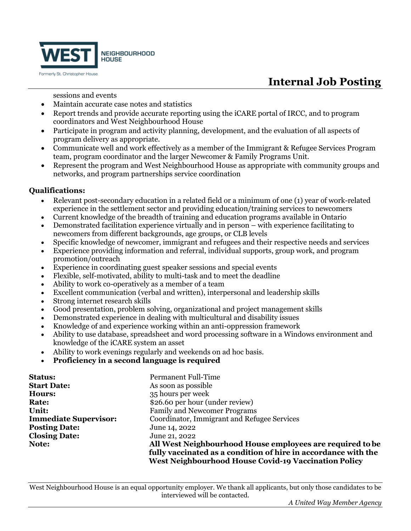

# **Internal Job Posting**

sessions and events

- Maintain accurate case notes and statistics
- Report trends and provide accurate reporting using the iCARE portal of IRCC, and to program coordinators and West Neighbourhood House
- Participate in program and activity planning, development, and the evaluation of all aspects of program delivery as appropriate.
- Communicate well and work effectively as a member of the Immigrant & Refugee Services Program team, program coordinator and the larger Newcomer & Family Programs Unit.
- Represent the program and West Neighbourhood House as appropriate with community groups and networks, and program partnerships service coordination

#### **Qualifications:**

- Relevant post-secondary education in a related field or a minimum of one (1) year of work-related experience in the settlement sector and providing education/training services to newcomers
- Current knowledge of the breadth of training and education programs available in Ontario
- Demonstrated facilitation experience virtually and in person with experience facilitating to newcomers from different backgrounds, age groups, or CLB levels
- Specific knowledge of newcomer, immigrant and refugees and their respective needs and services
- Experience providing information and referral, individual supports, group work, and program promotion/outreach
- Experience in coordinating guest speaker sessions and special events
- Flexible, self-motivated, ability to multi-task and to meet the deadline
- Ability to work co-operatively as a member of a team
- Excellent communication (verbal and written), interpersonal and leadership skills
- Strong internet research skills
- Good presentation, problem solving, organizational and project management skills
- Demonstrated experience in dealing with multicultural and disability issues
- Knowledge of and experience working within an anti-oppression framework
- Ability to use database, spreadsheet and word processing software in a Windows environment and knowledge of the iCARE system an asset
- Ability to work evenings regularly and weekends on ad hoc basis.
- **Proficiency in a second language is required**

| <b>Status:</b>               | <b>Permanent Full-Time</b>                                     |
|------------------------------|----------------------------------------------------------------|
| <b>Start Date:</b>           | As soon as possible                                            |
| Hours:                       | 35 hours per week                                              |
| Rate:                        | \$26.60 per hour (under review)                                |
| Unit:                        | <b>Family and Newcomer Programs</b>                            |
| <b>Immediate Supervisor:</b> | Coordinator, Immigrant and Refugee Services                    |
| <b>Posting Date:</b>         | June 14, 2022                                                  |
| <b>Closing Date:</b>         | June 21, 2022                                                  |
| Note:                        | All West Neighbourhood House employees are required to be      |
|                              | fully vaccinated as a condition of hire in accordance with the |
|                              | <b>West Neighbourhood House Covid-19 Vaccination Policy</b>    |

West Neighbourhood House is an equal opportunity employer. We thank all applicants, but only those candidates to be interviewed will be contacted.